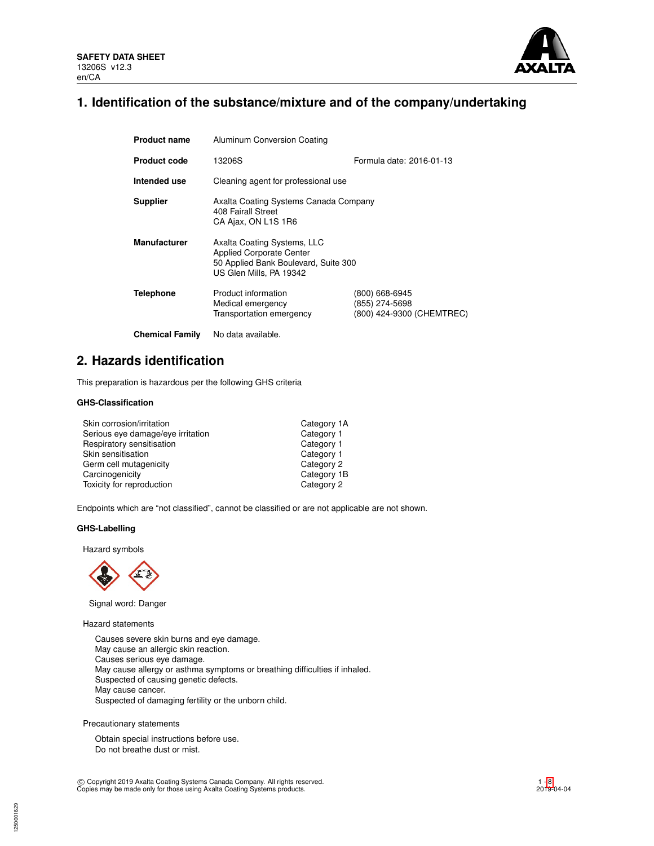

# **1. Identification of the substance/mixture and of the company/undertaking**

| <b>Product name</b>    | Aluminum Conversion Coating                                                                                                       |                                                               |  |  |
|------------------------|-----------------------------------------------------------------------------------------------------------------------------------|---------------------------------------------------------------|--|--|
| <b>Product code</b>    | Formula date: 2016-01-13<br>13206S                                                                                                |                                                               |  |  |
| Intended use           | Cleaning agent for professional use                                                                                               |                                                               |  |  |
| <b>Supplier</b>        | Axalta Coating Systems Canada Company<br>408 Fairall Street<br>CA Ajax, ON L1S 1R6                                                |                                                               |  |  |
| <b>Manufacturer</b>    | Axalta Coating Systems, LLC<br><b>Applied Corporate Center</b><br>50 Applied Bank Boulevard, Suite 300<br>US Glen Mills, PA 19342 |                                                               |  |  |
| <b>Telephone</b>       | Product information<br>Medical emergency<br>Transportation emergency                                                              | (800) 668-6945<br>(855) 274-5698<br>(800) 424-9300 (CHEMTREC) |  |  |
| <b>Chemical Family</b> | No data available.                                                                                                                |                                                               |  |  |

# **2. Hazards identification**

This preparation is hazardous per the following GHS criteria

# **GHS-Classification**

| Skin corrosion/irritation         | Category 1A |
|-----------------------------------|-------------|
| Serious eye damage/eye irritation | Category 1  |
| Respiratory sensitisation         | Category 1  |
| Skin sensitisation                | Category 1  |
| Germ cell mutagenicity            | Category 2  |
| Carcinogenicity                   | Category 1B |
| Toxicity for reproduction         | Category 2  |

Endpoints which are "not classified", cannot be classified or are not applicable are not shown.

# **GHS-Labelling**

Hazard symbols



Signal word: Danger

Hazard statements

Causes severe skin burns and eye damage. May cause an allergic skin reaction. Causes serious eye damage. May cause allergy or asthma symptoms or breathing difficulties if inhaled. Suspected of causing genetic defects. May cause cancer. Suspected of damaging fertility or the unborn child.

Precautionary statements

Obtain special instructions before use. Do not breathe dust or mist.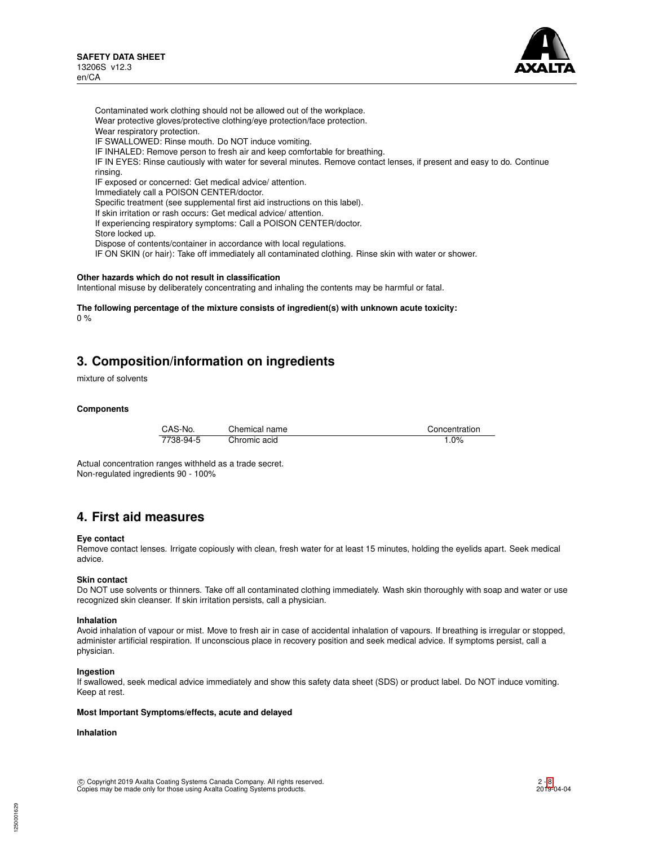

Contaminated work clothing should not be allowed out of the workplace. Wear protective gloves/protective clothing/eye protection/face protection. Wear respiratory protection. IF SWALLOWED: Rinse mouth. Do NOT induce vomiting. IF INHALED: Remove person to fresh air and keep comfortable for breathing. IF IN EYES: Rinse cautiously with water for several minutes. Remove contact lenses, if present and easy to do. Continue rinsing. IF exposed or concerned: Get medical advice/ attention. Immediately call a POISON CENTER/doctor. Specific treatment (see supplemental first aid instructions on this label). If skin irritation or rash occurs: Get medical advice/ attention. If experiencing respiratory symptoms: Call a POISON CENTER/doctor. Store locked up. Dispose of contents/container in accordance with local regulations. IF ON SKIN (or hair): Take off immediately all contaminated clothing. Rinse skin with water or shower.

#### **Other hazards which do not result in classification**

Intentional misuse by deliberately concentrating and inhaling the contents may be harmful or fatal.

**The following percentage of the mixture consists of ingredient(s) with unknown acute toxicity:** 0 %

# **3. Composition/information on ingredients**

mixture of solvents

#### **Components**

| CAS-No.   | Chemical name | Concentration |
|-----------|---------------|---------------|
| 7738-94-5 | Chromic acid  | 1.0%          |

Actual concentration ranges withheld as a trade secret. Non-regulated ingredients 90 - 100%

# **4. First aid measures**

#### **Eye contact**

Remove contact lenses. Irrigate copiously with clean, fresh water for at least 15 minutes, holding the eyelids apart. Seek medical advice.

#### **Skin contact**

Do NOT use solvents or thinners. Take off all contaminated clothing immediately. Wash skin thoroughly with soap and water or use recognized skin cleanser. If skin irritation persists, call a physician.

#### **Inhalation**

Avoid inhalation of vapour or mist. Move to fresh air in case of accidental inhalation of vapours. If breathing is irregular or stopped, administer artificial respiration. If unconscious place in recovery position and seek medical advice. If symptoms persist, call a physician.

#### **Ingestion**

If swallowed, seek medical advice immediately and show this safety data sheet (SDS) or product label. Do NOT induce vomiting. Keep at rest.

#### **Most Important Symptoms/effects, acute and delayed**

# **Inhalation**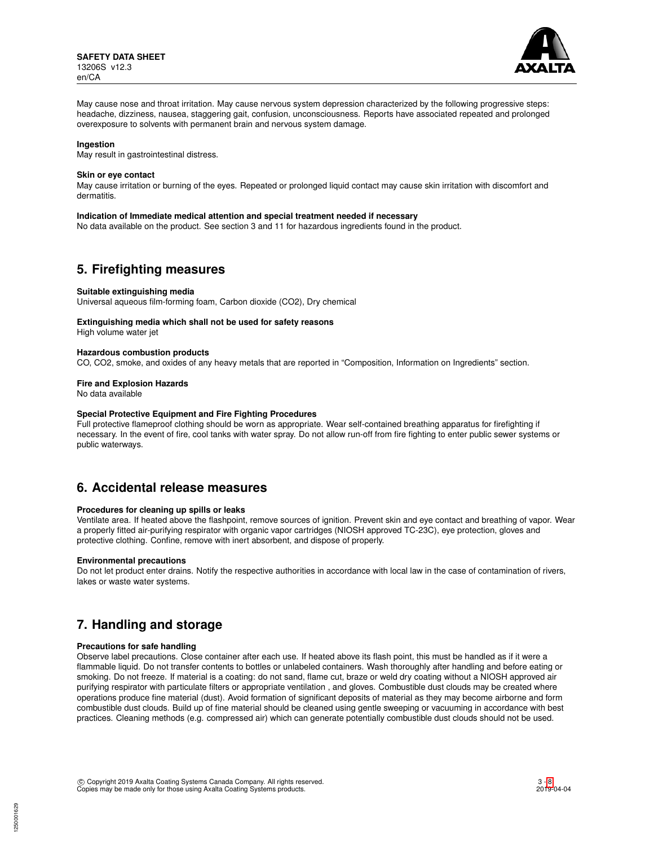

May cause nose and throat irritation. May cause nervous system depression characterized by the following progressive steps: headache, dizziness, nausea, staggering gait, confusion, unconsciousness. Reports have associated repeated and prolonged overexposure to solvents with permanent brain and nervous system damage.

#### **Ingestion**

May result in gastrointestinal distress.

#### **Skin or eye contact**

May cause irritation or burning of the eyes. Repeated or prolonged liquid contact may cause skin irritation with discomfort and dermatitis.

#### **Indication of Immediate medical attention and special treatment needed if necessary**

No data available on the product. See section 3 and 11 for hazardous ingredients found in the product.

# **5. Firefighting measures**

#### **Suitable extinguishing media**

Universal aqueous film-forming foam, Carbon dioxide (CO2), Dry chemical

# **Extinguishing media which shall not be used for safety reasons**

High volume water jet

#### **Hazardous combustion products**

CO, CO2, smoke, and oxides of any heavy metals that are reported in "Composition, Information on Ingredients" section.

**Fire and Explosion Hazards**

No data available

#### **Special Protective Equipment and Fire Fighting Procedures**

Full protective flameproof clothing should be worn as appropriate. Wear self-contained breathing apparatus for firefighting if necessary. In the event of fire, cool tanks with water spray. Do not allow run-off from fire fighting to enter public sewer systems or public waterways.

# **6. Accidental release measures**

# **Procedures for cleaning up spills or leaks**

Ventilate area. If heated above the flashpoint, remove sources of ignition. Prevent skin and eye contact and breathing of vapor. Wear a properly fitted air-purifying respirator with organic vapor cartridges (NIOSH approved TC-23C), eye protection, gloves and protective clothing. Confine, remove with inert absorbent, and dispose of properly.

# **Environmental precautions**

Do not let product enter drains. Notify the respective authorities in accordance with local law in the case of contamination of rivers, lakes or waste water systems.

# **7. Handling and storage**

#### **Precautions for safe handling**

Observe label precautions. Close container after each use. If heated above its flash point, this must be handled as if it were a flammable liquid. Do not transfer contents to bottles or unlabeled containers. Wash thoroughly after handling and before eating or smoking. Do not freeze. If material is a coating: do not sand, flame cut, braze or weld dry coating without a NIOSH approved air purifying respirator with particulate filters or appropriate ventilation , and gloves. Combustible dust clouds may be created where operations produce fine material (dust). Avoid formation of significant deposits of material as they may become airborne and form combustible dust clouds. Build up of fine material should be cleaned using gentle sweeping or vacuuming in accordance with best practices. Cleaning methods (e.g. compressed air) which can generate potentially combustible dust clouds should not be used.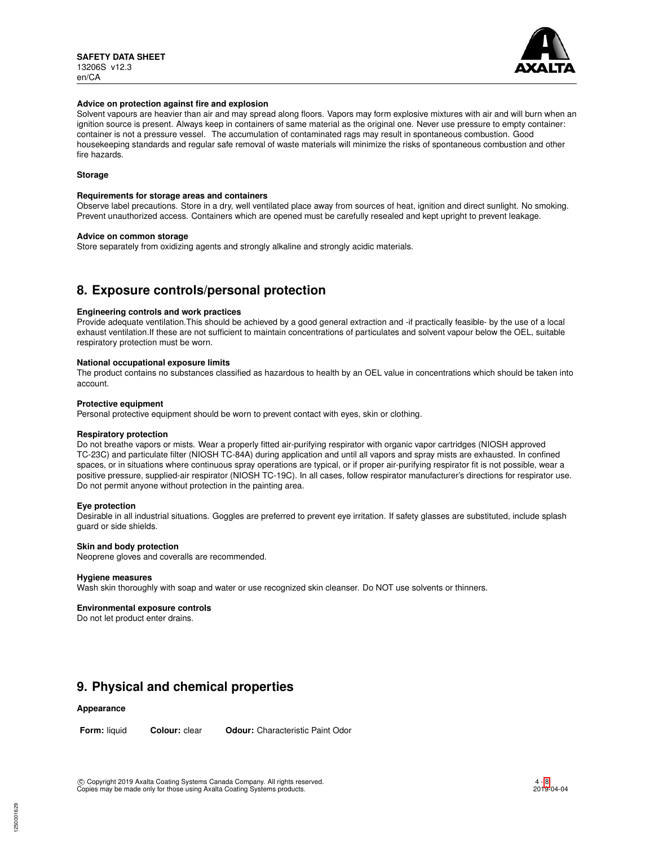

#### **Advice on protection against fire and explosion**

Solvent vapours are heavier than air and may spread along floors. Vapors may form explosive mixtures with air and will burn when an ignition source is present. Always keep in containers of same material as the original one. Never use pressure to empty container: container is not a pressure vessel. The accumulation of contaminated rags may result in spontaneous combustion. Good housekeeping standards and regular safe removal of waste materials will minimize the risks of spontaneous combustion and other fire hazards.

# **Storage**

#### **Requirements for storage areas and containers**

Observe label precautions. Store in a dry, well ventilated place away from sources of heat, ignition and direct sunlight. No smoking. Prevent unauthorized access. Containers which are opened must be carefully resealed and kept upright to prevent leakage.

### **Advice on common storage**

Store separately from oxidizing agents and strongly alkaline and strongly acidic materials.

# **8. Exposure controls/personal protection**

### **Engineering controls and work practices**

Provide adequate ventilation.This should be achieved by a good general extraction and -if practically feasible- by the use of a local exhaust ventilation.If these are not sufficient to maintain concentrations of particulates and solvent vapour below the OEL, suitable respiratory protection must be worn.

### **National occupational exposure limits**

The product contains no substances classified as hazardous to health by an OEL value in concentrations which should be taken into account.

### **Protective equipment**

Personal protective equipment should be worn to prevent contact with eyes, skin or clothing.

# **Respiratory protection**

Do not breathe vapors or mists. Wear a properly fitted air-purifying respirator with organic vapor cartridges (NIOSH approved TC-23C) and particulate filter (NIOSH TC-84A) during application and until all vapors and spray mists are exhausted. In confined spaces, or in situations where continuous spray operations are typical, or if proper air-purifying respirator fit is not possible, wear a positive pressure, supplied-air respirator (NIOSH TC-19C). In all cases, follow respirator manufacturer's directions for respirator use. Do not permit anyone without protection in the painting area.

# **Eye protection**

Desirable in all industrial situations. Goggles are preferred to prevent eye irritation. If safety glasses are substituted, include splash guard or side shields.

#### **Skin and body protection**

Neoprene gloves and coveralls are recommended.

#### **Hygiene measures**

Wash skin thoroughly with soap and water or use recognized skin cleanser. Do NOT use solvents or thinners.

#### **Environmental exposure controls**

Do not let product enter drains.

# **9. Physical and chemical properties**

# **Appearance**

**Form:** liquid **Colour:** clear **Odour:** Characteristic Paint Odor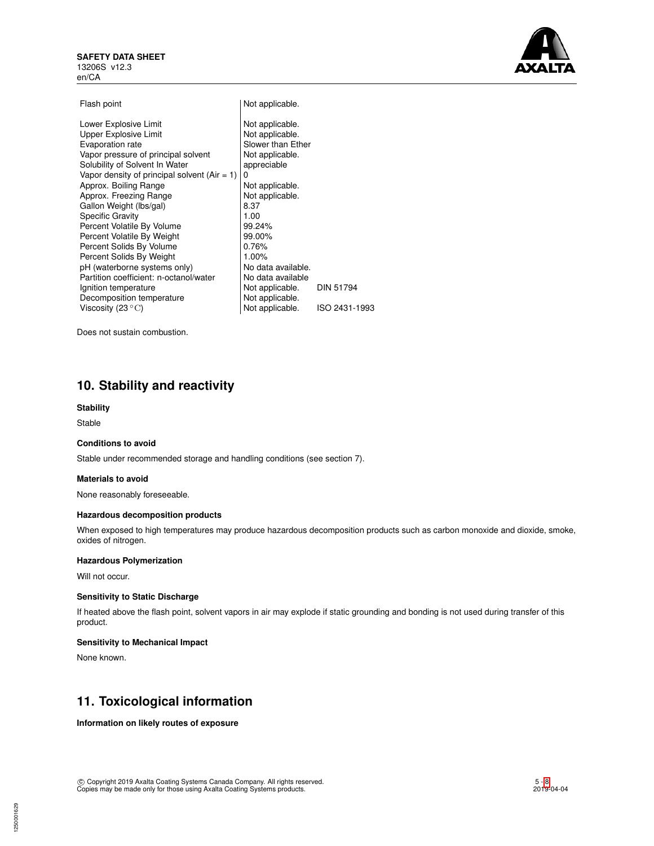### **SAFETY DATA SHEET** 13206S v12.3 en/CA



| Lower Explosive Limit<br>Not applicable.<br><b>Upper Explosive Limit</b><br>Not applicable.<br>Slower than Ether<br>Evaporation rate<br>Vapor pressure of principal solvent<br>Not applicable. |  |
|------------------------------------------------------------------------------------------------------------------------------------------------------------------------------------------------|--|
|                                                                                                                                                                                                |  |
|                                                                                                                                                                                                |  |
|                                                                                                                                                                                                |  |
|                                                                                                                                                                                                |  |
| Solubility of Solvent In Water<br>appreciable                                                                                                                                                  |  |
| Vapor density of principal solvent $(Air = 1)$<br>0                                                                                                                                            |  |
| Approx. Boiling Range<br>Not applicable.                                                                                                                                                       |  |
| Approx. Freezing Range<br>Not applicable.                                                                                                                                                      |  |
| Gallon Weight (lbs/gal)<br>8.37                                                                                                                                                                |  |
| <b>Specific Gravity</b><br>1.00                                                                                                                                                                |  |
| Percent Volatile By Volume<br>99.24%                                                                                                                                                           |  |
| Percent Volatile By Weight<br>99.00%                                                                                                                                                           |  |
| Percent Solids By Volume<br>0.76%                                                                                                                                                              |  |
| Percent Solids By Weight<br>1.00%                                                                                                                                                              |  |
| pH (waterborne systems only)<br>No data available.                                                                                                                                             |  |
| Partition coefficient: n-octanol/water<br>No data available                                                                                                                                    |  |
| Not applicable.<br><b>DIN 51794</b><br>Ignition temperature                                                                                                                                    |  |
| Not applicable.<br>Decomposition temperature                                                                                                                                                   |  |
| Not applicable.<br>Viscosity (23 $\,^{\circ}$ C)<br>ISO 2431-1993                                                                                                                              |  |

Does not sustain combustion.

# **10. Stability and reactivity**

### **Stability**

Stable

# **Conditions to avoid**

Stable under recommended storage and handling conditions (see section 7).

#### **Materials to avoid**

None reasonably foreseeable.

#### **Hazardous decomposition products**

When exposed to high temperatures may produce hazardous decomposition products such as carbon monoxide and dioxide, smoke, oxides of nitrogen.

# **Hazardous Polymerization**

Will not occur.

### **Sensitivity to Static Discharge**

If heated above the flash point, solvent vapors in air may explode if static grounding and bonding is not used during transfer of this product.

# **Sensitivity to Mechanical Impact**

None known.

# **11. Toxicological information**

**Information on likely routes of exposure**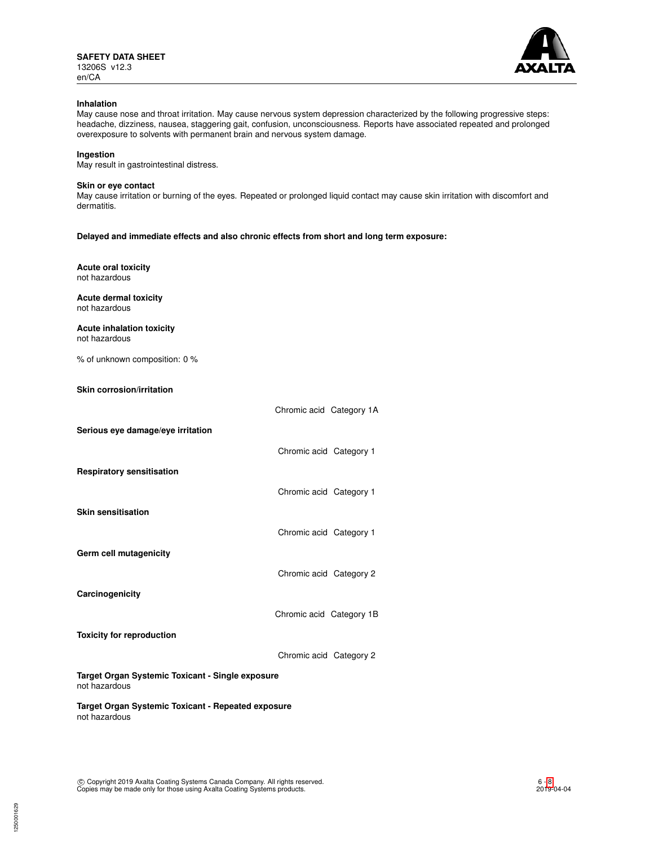

### **Inhalation**

May cause nose and throat irritation. May cause nervous system depression characterized by the following progressive steps: headache, dizziness, nausea, staggering gait, confusion, unconsciousness. Reports have associated repeated and prolonged overexposure to solvents with permanent brain and nervous system damage.

### **Ingestion**

May result in gastrointestinal distress.

#### **Skin or eye contact**

May cause irritation or burning of the eyes. Repeated or prolonged liquid contact may cause skin irritation with discomfort and dermatitis.

**Delayed and immediate effects and also chronic effects from short and long term exposure:**

**Acute oral toxicity** not hazardous

**Acute dermal toxicity** not hazardous

**Acute inhalation toxicity** not hazardous

% of unknown composition: 0 %

**Skin corrosion/irritation**

|                                                                     | Chromic acid Category 1A |  |
|---------------------------------------------------------------------|--------------------------|--|
| Serious eye damage/eye irritation                                   |                          |  |
|                                                                     | Chromic acid Category 1  |  |
| <b>Respiratory sensitisation</b>                                    |                          |  |
|                                                                     | Chromic acid Category 1  |  |
| Skin sensitisation                                                  |                          |  |
|                                                                     | Chromic acid Category 1  |  |
| Germ cell mutagenicity                                              |                          |  |
|                                                                     | Chromic acid Category 2  |  |
| Carcinogenicity                                                     |                          |  |
|                                                                     | Chromic acid Category 1B |  |
| <b>Toxicity for reproduction</b>                                    |                          |  |
|                                                                     | Chromic acid Category 2  |  |
| Target Organ Systemic Toxicant - Single exposure<br>not hazardous   |                          |  |
| Target Organ Systemic Toxicant - Repeated exposure<br>not hazardous |                          |  |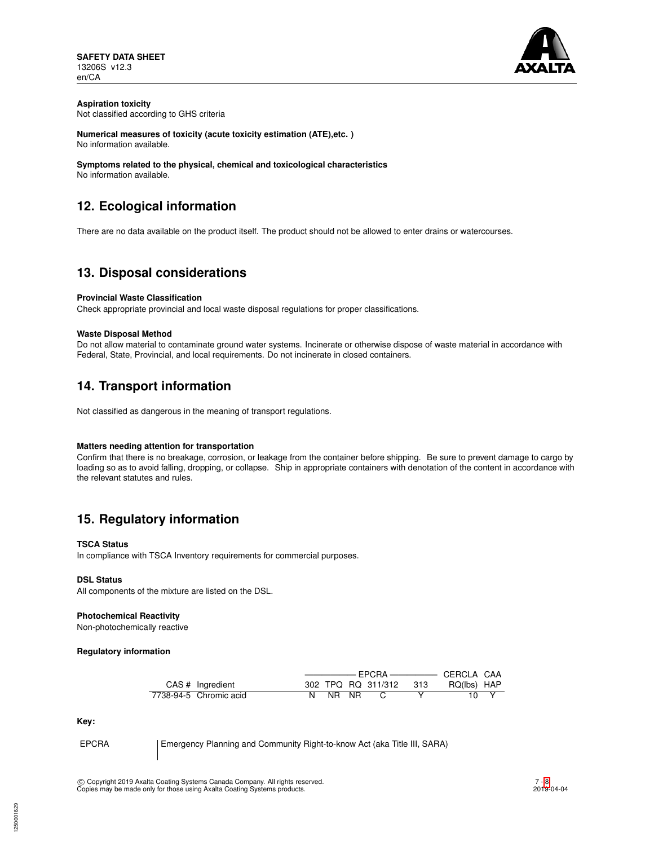

# **Aspiration toxicity**

Not classified according to GHS criteria

**Numerical measures of toxicity (acute toxicity estimation (ATE),etc. )** No information available.

**Symptoms related to the physical, chemical and toxicological characteristics** No information available.

# **12. Ecological information**

There are no data available on the product itself. The product should not be allowed to enter drains or watercourses.

# **13. Disposal considerations**

# **Provincial Waste Classification**

Check appropriate provincial and local waste disposal regulations for proper classifications.

# **Waste Disposal Method**

Do not allow material to contaminate ground water systems. Incinerate or otherwise dispose of waste material in accordance with Federal, State, Provincial, and local requirements. Do not incinerate in closed containers.

# **14. Transport information**

Not classified as dangerous in the meaning of transport regulations.

# **Matters needing attention for transportation**

Confirm that there is no breakage, corrosion, or leakage from the container before shipping. Be sure to prevent damage to cargo by loading so as to avoid falling, dropping, or collapse. Ship in appropriate containers with denotation of the content in accordance with the relevant statutes and rules.

# **15. Regulatory information**

# **TSCA Status**

In compliance with TSCA Inventory requirements for commercial purposes.

# **DSL Status**

All components of the mixture are listed on the DSL.

# **Photochemical Reactivity**

Non-photochemically reactive

**Regulatory information**

|  |                        |     |      | FPCRA-                 | — CERCLA CAA |  |
|--|------------------------|-----|------|------------------------|--------------|--|
|  | CAS # Ingredient       |     |      | 302 TPQ RQ 311/312 313 | RQ(lbs) HAP  |  |
|  | 7738-94-5 Chromic acid | NR. | - NR |                        |              |  |

**Key:**

EPCRA Emergency Planning and Community Right-to-know Act (aka Title III, SARA)